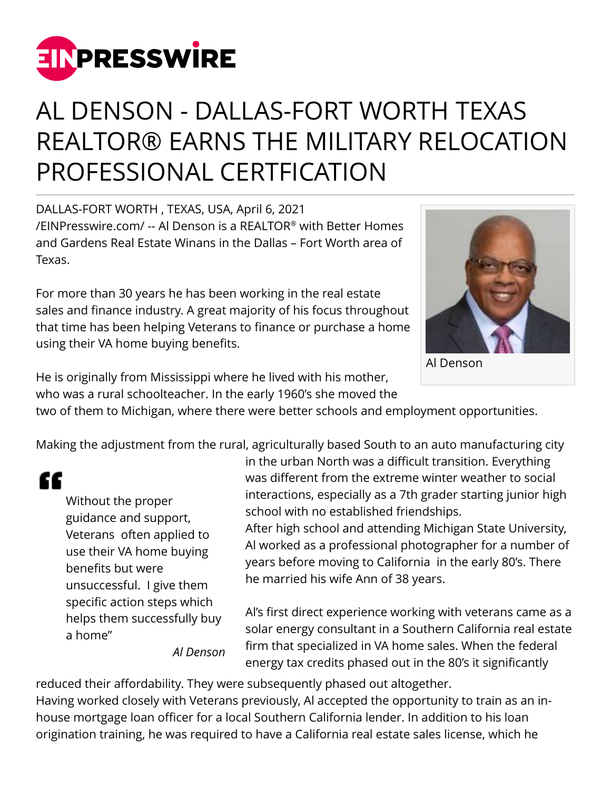

## AL DENSON - DALLAS-FORT WORTH TEXAS REALTOR® EARNS THE MILITARY RELOCATION PROFESSIONAL CERTFICATION

DALLAS-FORT WORTH , TEXAS, USA, April 6, 2021 [/EINPresswire.com/](http://www.einpresswire.com) -- Al Denson is a REALTOR® with Better Homes and Gardens Real Estate Winans in the Dallas – Fort Worth area of Texas.

For more than 30 years he has been working in the real estate sales and finance industry. A great majority of his focus throughout that time has been helping Veterans to finance or purchase a home using their VA home buying benefits.



Al Denson

He is originally from Mississippi where he lived with his mother,

who was a rural schoolteacher. In the early 1960's she moved the

two of them to Michigan, where there were better schools and employment opportunities.

Making the adjustment from the rural, agriculturally based South to an auto manufacturing city

## "

Without the proper guidance and support, Veterans often applied to use their VA home buying benefits but were unsuccessful. I give them specific action steps which helps them successfully buy a home"

in the urban North was a difficult transition. Everything was different from the extreme winter weather to social interactions, especially as a 7th grader starting junior high school with no established friendships.

After high school and attending Michigan State University, Al worked as a professional photographer for a number of years before moving to California in the early 80's. There he married his wife Ann of 38 years.

Al's first direct experience working with veterans came as a solar energy consultant in a Southern California real estate firm that specialized in VA home sales. When the federal energy tax credits phased out in the 80's it significantly

*Al Denson*

reduced their affordability. They were subsequently phased out altogether. Having worked closely with Veterans previously, Al accepted the opportunity to train as an inhouse mortgage loan officer for a local Southern California lender. In addition to his loan origination training, he was required to have a California real estate sales license, which he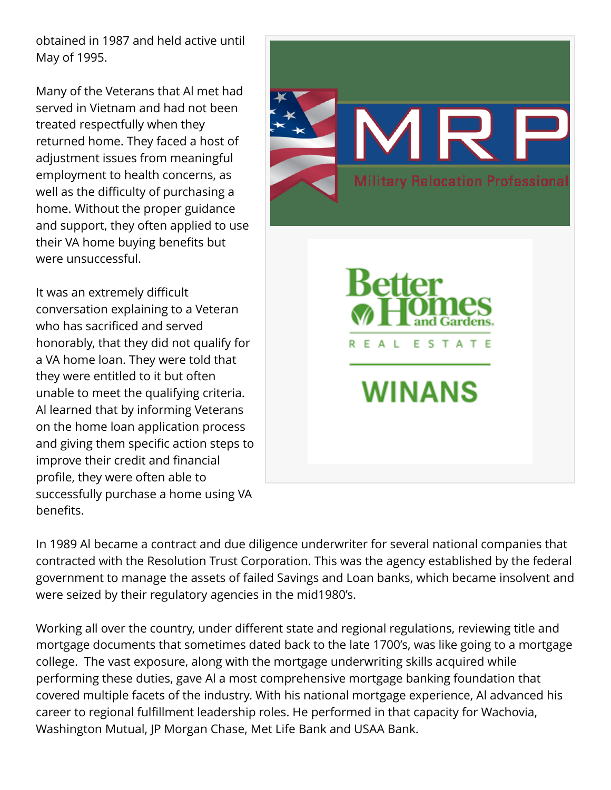obtained in 1987 and held active until May of 1995.

Many of the Veterans that Al met had served in Vietnam and had not been treated respectfully when they returned home. They faced a host of adjustment issues from meaningful employment to health concerns, as well as the difficulty of purchasing a home. Without the proper guidance and support, they often applied to use their VA home buying benefits but were unsuccessful.

It was an extremely difficult conversation explaining to a Veteran who has sacrificed and served honorably, that they did not qualify for a VA home loan. They were told that they were entitled to it but often unable to meet the qualifying criteria. Al learned that by informing Veterans on the home loan application process and giving them specific action steps to improve their credit and financial profile, they were often able to successfully purchase a home using VA benefits.



In 1989 Al became a contract and due diligence underwriter for several national companies that contracted with the Resolution Trust Corporation. This was the agency established by the federal government to manage the assets of failed Savings and Loan banks, which became insolvent and were seized by their regulatory agencies in the mid1980's.

Working all over the country, under different state and regional regulations, reviewing title and mortgage documents that sometimes dated back to the late 1700's, was like going to a mortgage college. The vast exposure, along with the mortgage underwriting skills acquired while performing these duties, gave Al a most comprehensive mortgage banking foundation that covered multiple facets of the industry. With his national mortgage experience, Al advanced his career to regional fulfillment leadership roles. He performed in that capacity for Wachovia, Washington Mutual, JP Morgan Chase, Met Life Bank and USAA Bank.